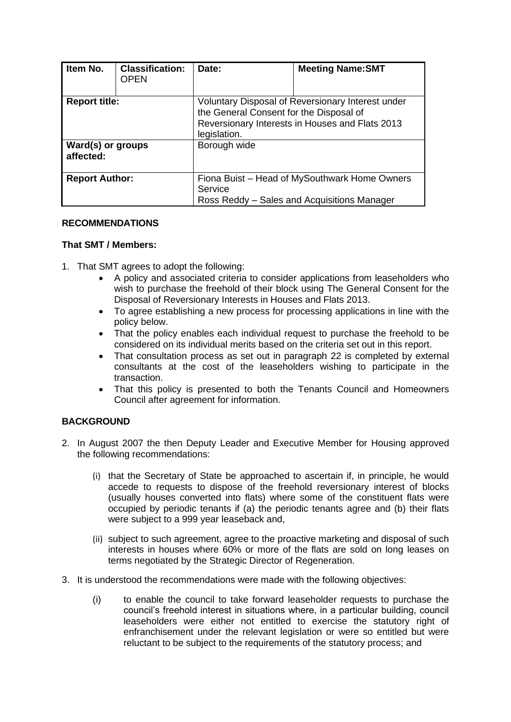| Item No.                       | <b>Classification:</b><br><b>OPEN</b> | Date:                                                                                                                                                           | <b>Meeting Name:SMT</b> |
|--------------------------------|---------------------------------------|-----------------------------------------------------------------------------------------------------------------------------------------------------------------|-------------------------|
| <b>Report title:</b>           |                                       | Voluntary Disposal of Reversionary Interest under<br>the General Consent for the Disposal of<br>Reversionary Interests in Houses and Flats 2013<br>legislation. |                         |
| Ward(s) or groups<br>affected: |                                       | Borough wide                                                                                                                                                    |                         |
| <b>Report Author:</b>          |                                       | Fiona Buist – Head of MySouthwark Home Owners<br>Service<br>Ross Reddy - Sales and Acquisitions Manager                                                         |                         |

## **RECOMMENDATIONS**

#### **That SMT / Members:**

- 1. That SMT agrees to adopt the following:
	- A policy and associated criteria to consider applications from leaseholders who wish to purchase the freehold of their block using The General Consent for the Disposal of Reversionary Interests in Houses and Flats 2013.
	- To agree establishing a new process for processing applications in line with the policy below.
	- That the policy enables each individual request to purchase the freehold to be considered on its individual merits based on the criteria set out in this report.
	- That consultation process as set out in paragraph 22 is completed by external consultants at the cost of the leaseholders wishing to participate in the transaction.
	- That this policy is presented to both the Tenants Council and Homeowners Council after agreement for information.

## **BACKGROUND**

- 2. In August 2007 the then Deputy Leader and Executive Member for Housing approved the following recommendations:
	- (i) that the Secretary of State be approached to ascertain if, in principle, he would accede to requests to dispose of the freehold reversionary interest of blocks (usually houses converted into flats) where some of the constituent flats were occupied by periodic tenants if (a) the periodic tenants agree and (b) their flats were subject to a 999 year leaseback and,
	- (ii) subject to such agreement, agree to the proactive marketing and disposal of such interests in houses where 60% or more of the flats are sold on long leases on terms negotiated by the Strategic Director of Regeneration.
- 3. It is understood the recommendations were made with the following objectives:
	- (i) to enable the council to take forward leaseholder requests to purchase the council's freehold interest in situations where, in a particular building, council leaseholders were either not entitled to exercise the statutory right of enfranchisement under the relevant legislation or were so entitled but were reluctant to be subject to the requirements of the statutory process; and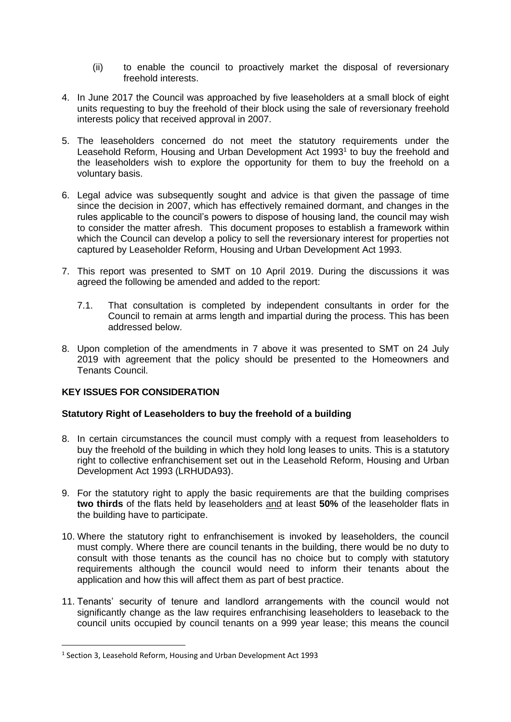- (ii) to enable the council to proactively market the disposal of reversionary freehold interests.
- 4. In June 2017 the Council was approached by five leaseholders at a small block of eight units requesting to buy the freehold of their block using the sale of reversionary freehold interests policy that received approval in 2007.
- 5. The leaseholders concerned do not meet the statutory requirements under the Leasehold Reform, Housing and Urban Development Act 1993<sup>1</sup> to buy the freehold and the leaseholders wish to explore the opportunity for them to buy the freehold on a voluntary basis.
- 6. Legal advice was subsequently sought and advice is that given the passage of time since the decision in 2007, which has effectively remained dormant, and changes in the rules applicable to the council's powers to dispose of housing land, the council may wish to consider the matter afresh. This document proposes to establish a framework within which the Council can develop a policy to sell the reversionary interest for properties not captured by Leaseholder Reform, Housing and Urban Development Act 1993.
- 7. This report was presented to SMT on 10 April 2019. During the discussions it was agreed the following be amended and added to the report:
	- 7.1. That consultation is completed by independent consultants in order for the Council to remain at arms length and impartial during the process. This has been addressed below.
- 8. Upon completion of the amendments in 7 above it was presented to SMT on 24 July 2019 with agreement that the policy should be presented to the Homeowners and Tenants Council.

## **KEY ISSUES FOR CONSIDERATION**

## **Statutory Right of Leaseholders to buy the freehold of a building**

- 8. In certain circumstances the council must comply with a request from leaseholders to buy the freehold of the building in which they hold long leases to units. This is a statutory right to collective enfranchisement set out in the Leasehold Reform, Housing and Urban Development Act 1993 (LRHUDA93).
- 9. For the statutory right to apply the basic requirements are that the building comprises **two thirds** of the flats held by leaseholders and at least **50%** of the leaseholder flats in the building have to participate.
- 10. Where the statutory right to enfranchisement is invoked by leaseholders, the council must comply. Where there are council tenants in the building, there would be no duty to consult with those tenants as the council has no choice but to comply with statutory requirements although the council would need to inform their tenants about the application and how this will affect them as part of best practice.
- 11. Tenants' security of tenure and landlord arrangements with the council would not significantly change as the law requires enfranchising leaseholders to leaseback to the council units occupied by council tenants on a 999 year lease; this means the council

<sup>&</sup>lt;sup>1</sup> Section 3, Leasehold Reform, Housing and Urban Development Act 1993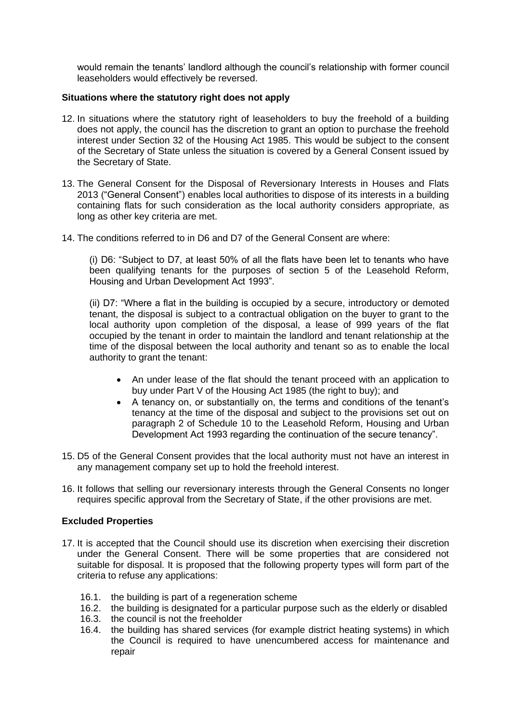would remain the tenants' landlord although the council's relationship with former council leaseholders would effectively be reversed.

#### **Situations where the statutory right does not apply**

- 12. In situations where the statutory right of leaseholders to buy the freehold of a building does not apply, the council has the discretion to grant an option to purchase the freehold interest under Section 32 of the Housing Act 1985. This would be subject to the consent of the Secretary of State unless the situation is covered by a General Consent issued by the Secretary of State.
- 13. The General Consent for the Disposal of Reversionary Interests in Houses and Flats 2013 ("General Consent") enables local authorities to dispose of its interests in a building containing flats for such consideration as the local authority considers appropriate, as long as other key criteria are met.
- 14. The conditions referred to in D6 and D7 of the General Consent are where:

(i) D6: "Subject to D7, at least 50% of all the flats have been let to tenants who have been qualifying tenants for the purposes of section 5 of the Leasehold Reform, Housing and Urban Development Act 1993".

(ii) D7: "Where a flat in the building is occupied by a secure, introductory or demoted tenant, the disposal is subject to a contractual obligation on the buyer to grant to the local authority upon completion of the disposal, a lease of 999 years of the flat occupied by the tenant in order to maintain the landlord and tenant relationship at the time of the disposal between the local authority and tenant so as to enable the local authority to grant the tenant:

- An under lease of the flat should the tenant proceed with an application to buy under Part V of the Housing Act 1985 (the right to buy); and
- A tenancy on, or substantially on, the terms and conditions of the tenant's tenancy at the time of the disposal and subject to the provisions set out on paragraph 2 of Schedule 10 to the Leasehold Reform, Housing and Urban Development Act 1993 regarding the continuation of the secure tenancy".
- 15. D5 of the General Consent provides that the local authority must not have an interest in any management company set up to hold the freehold interest.
- 16. It follows that selling our reversionary interests through the General Consents no longer requires specific approval from the Secretary of State, if the other provisions are met.

## **Excluded Properties**

- 17. It is accepted that the Council should use its discretion when exercising their discretion under the General Consent. There will be some properties that are considered not suitable for disposal. It is proposed that the following property types will form part of the criteria to refuse any applications:
	- 16.1. the building is part of a regeneration scheme
	- 16.2. the building is designated for a particular purpose such as the elderly or disabled
	- 16.3. the council is not the freeholder
	- 16.4. the building has shared services (for example district heating systems) in which the Council is required to have unencumbered access for maintenance and repair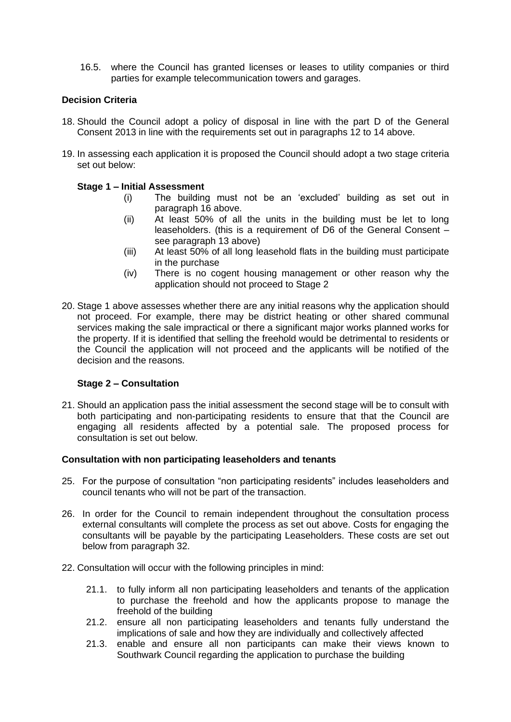16.5. where the Council has granted licenses or leases to utility companies or third parties for example telecommunication towers and garages.

## **Decision Criteria**

- 18. Should the Council adopt a policy of disposal in line with the part D of the General Consent 2013 in line with the requirements set out in paragraphs 12 to 14 above.
- 19. In assessing each application it is proposed the Council should adopt a two stage criteria set out below:

## **Stage 1 – Initial Assessment**

- (i) The building must not be an 'excluded' building as set out in paragraph 16 above.
- (ii) At least 50% of all the units in the building must be let to long leaseholders. (this is a requirement of D6 of the General Consent – see paragraph 13 above)
- (iii) At least 50% of all long leasehold flats in the building must participate in the purchase
- (iv) There is no cogent housing management or other reason why the application should not proceed to Stage 2
- 20. Stage 1 above assesses whether there are any initial reasons why the application should not proceed. For example, there may be district heating or other shared communal services making the sale impractical or there a significant major works planned works for the property. If it is identified that selling the freehold would be detrimental to residents or the Council the application will not proceed and the applicants will be notified of the decision and the reasons.

## **Stage 2 – Consultation**

21. Should an application pass the initial assessment the second stage will be to consult with both participating and non-participating residents to ensure that that the Council are engaging all residents affected by a potential sale. The proposed process for consultation is set out below.

## **Consultation with non participating leaseholders and tenants**

- 25. For the purpose of consultation "non participating residents" includes leaseholders and council tenants who will not be part of the transaction.
- 26. In order for the Council to remain independent throughout the consultation process external consultants will complete the process as set out above. Costs for engaging the consultants will be payable by the participating Leaseholders. These costs are set out below from paragraph 32.
- 22. Consultation will occur with the following principles in mind:
	- 21.1. to fully inform all non participating leaseholders and tenants of the application to purchase the freehold and how the applicants propose to manage the freehold of the building
	- 21.2. ensure all non participating leaseholders and tenants fully understand the implications of sale and how they are individually and collectively affected
	- 21.3. enable and ensure all non participants can make their views known to Southwark Council regarding the application to purchase the building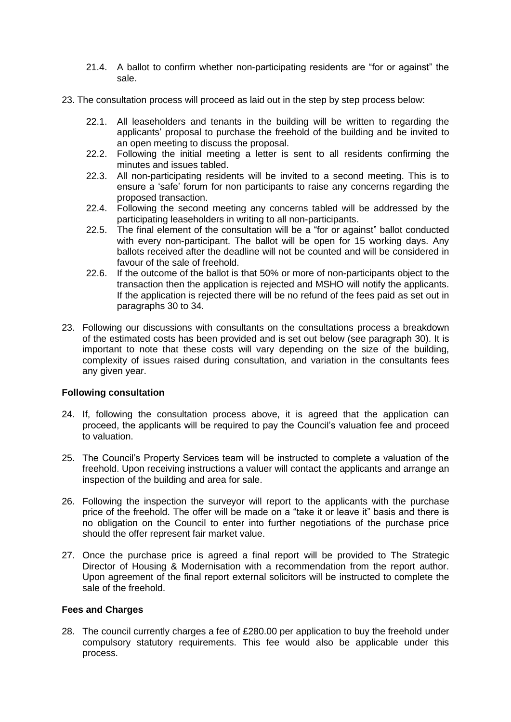- 21.4. A ballot to confirm whether non-participating residents are "for or against" the sale.
- 23. The consultation process will proceed as laid out in the step by step process below:
	- 22.1. All leaseholders and tenants in the building will be written to regarding the applicants' proposal to purchase the freehold of the building and be invited to an open meeting to discuss the proposal.
	- 22.2. Following the initial meeting a letter is sent to all residents confirming the minutes and issues tabled.
	- 22.3. All non-participating residents will be invited to a second meeting. This is to ensure a 'safe' forum for non participants to raise any concerns regarding the proposed transaction.
	- 22.4. Following the second meeting any concerns tabled will be addressed by the participating leaseholders in writing to all non-participants.
	- 22.5. The final element of the consultation will be a "for or against" ballot conducted with every non-participant. The ballot will be open for 15 working days. Any ballots received after the deadline will not be counted and will be considered in favour of the sale of freehold.
	- 22.6. If the outcome of the ballot is that 50% or more of non-participants object to the transaction then the application is rejected and MSHO will notify the applicants. If the application is rejected there will be no refund of the fees paid as set out in paragraphs 30 to 34.
- 23. Following our discussions with consultants on the consultations process a breakdown of the estimated costs has been provided and is set out below (see paragraph 30). It is important to note that these costs will vary depending on the size of the building, complexity of issues raised during consultation, and variation in the consultants fees any given year.

## **Following consultation**

- 24. If, following the consultation process above, it is agreed that the application can proceed, the applicants will be required to pay the Council's valuation fee and proceed to valuation.
- 25. The Council's Property Services team will be instructed to complete a valuation of the freehold. Upon receiving instructions a valuer will contact the applicants and arrange an inspection of the building and area for sale.
- 26. Following the inspection the surveyor will report to the applicants with the purchase price of the freehold. The offer will be made on a "take it or leave it" basis and there is no obligation on the Council to enter into further negotiations of the purchase price should the offer represent fair market value.
- 27. Once the purchase price is agreed a final report will be provided to The Strategic Director of Housing & Modernisation with a recommendation from the report author. Upon agreement of the final report external solicitors will be instructed to complete the sale of the freehold.

## **Fees and Charges**

28. The council currently charges a fee of £280.00 per application to buy the freehold under compulsory statutory requirements. This fee would also be applicable under this process.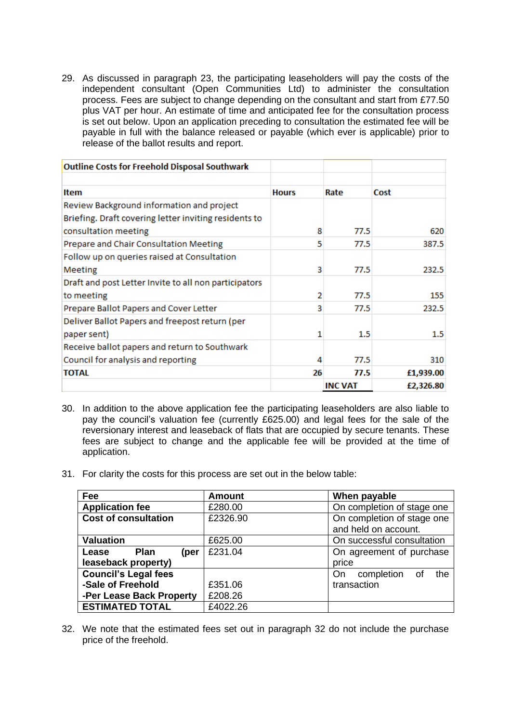29. As discussed in paragraph 23, the participating leaseholders will pay the costs of the independent consultant (Open Communities Ltd) to administer the consultation process. Fees are subject to change depending on the consultant and start from £77.50 plus VAT per hour. An estimate of time and anticipated fee for the consultation process is set out below. Upon an application preceding to consultation the estimated fee will be payable in full with the balance released or payable (which ever is applicable) prior to release of the ballot results and report.

| <b>Outline Costs for Freehold Disposal Southwark</b>                                                                       |              |                |           |
|----------------------------------------------------------------------------------------------------------------------------|--------------|----------------|-----------|
|                                                                                                                            |              |                |           |
| Item                                                                                                                       | <b>Hours</b> | Rate           | Cost      |
| Review Background information and project<br>Briefing. Draft covering letter inviting residents to<br>consultation meeting | 8            | 77.5           | 620       |
| Prepare and Chair Consultation Meeting                                                                                     | 5            | 77.5           | 387.5     |
| Follow up on queries raised at Consultation<br><b>Meeting</b>                                                              | 3            | 77.5           | 232.5     |
| Draft and post Letter Invite to all non participators<br>to meeting                                                        | 2            | 77.5           | 155       |
| Prepare Ballot Papers and Cover Letter                                                                                     | 3            | 77.5           | 232.5     |
| Deliver Ballot Papers and freepost return (per<br>paper sent)                                                              | 1            | $1.5\,$        | $1.5\,$   |
| Receive ballot papers and return to Southwark<br>Council for analysis and reporting                                        | 4            | 77.5           | 310       |
| <b>TOTAL</b>                                                                                                               | 26           | 77.5           | £1,939.00 |
|                                                                                                                            |              | <b>INC VAT</b> | £2,326.80 |

- 30. In addition to the above application fee the participating leaseholders are also liable to pay the council's valuation fee (currently £625.00) and legal fees for the sale of the reversionary interest and leaseback of flats that are occupied by secure tenants. These fees are subject to change and the applicable fee will be provided at the time of application.
- 31. For clarity the costs for this process are set out in the below table:

| Fee                         | <b>Amount</b> | When payable               |  |  |
|-----------------------------|---------------|----------------------------|--|--|
| <b>Application fee</b>      | £280.00       | On completion of stage one |  |  |
| <b>Cost of consultation</b> | £2326.90      | On completion of stage one |  |  |
|                             |               | and held on account.       |  |  |
| <b>Valuation</b>            | £625.00       | On successful consultation |  |  |
| Plan<br>Lease<br>(per       | £231.04       | On agreement of purchase   |  |  |
| leaseback property)         |               | price                      |  |  |
| <b>Council's Legal fees</b> |               | completion of<br>the<br>On |  |  |
| -Sale of Freehold           | £351.06       | transaction                |  |  |
| -Per Lease Back Property    | £208.26       |                            |  |  |
| <b>ESTIMATED TOTAL</b>      | £4022.26      |                            |  |  |

32. We note that the estimated fees set out in paragraph 32 do not include the purchase price of the freehold.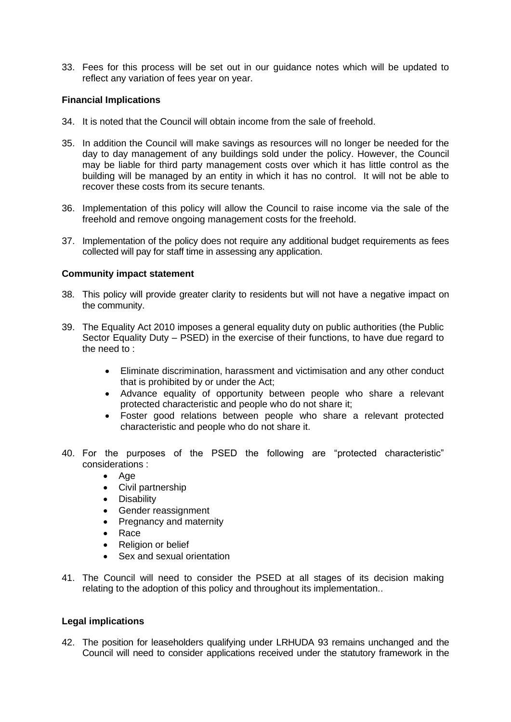33. Fees for this process will be set out in our guidance notes which will be updated to reflect any variation of fees year on year.

## **Financial Implications**

- 34. It is noted that the Council will obtain income from the sale of freehold.
- 35. In addition the Council will make savings as resources will no longer be needed for the day to day management of any buildings sold under the policy. However, the Council may be liable for third party management costs over which it has little control as the building will be managed by an entity in which it has no control. It will not be able to recover these costs from its secure tenants.
- 36. Implementation of this policy will allow the Council to raise income via the sale of the freehold and remove ongoing management costs for the freehold.
- 37. Implementation of the policy does not require any additional budget requirements as fees collected will pay for staff time in assessing any application.

#### **Community impact statement**

- 38. This policy will provide greater clarity to residents but will not have a negative impact on the community.
- 39. The Equality Act 2010 imposes a general equality duty on public authorities (the Public Sector Equality Duty – PSED) in the exercise of their functions, to have due regard to the need to :
	- Eliminate discrimination, harassment and victimisation and any other conduct that is prohibited by or under the Act;
	- Advance equality of opportunity between people who share a relevant protected characteristic and people who do not share it;
	- Foster good relations between people who share a relevant protected characteristic and people who do not share it.
- 40. For the purposes of the PSED the following are "protected characteristic" considerations :
	- Age
	- Civil partnership
	- Disability
	- Gender reassignment
	- Pregnancy and maternity
	- Race
	- Religion or belief
	- Sex and sexual orientation
- 41. The Council will need to consider the PSED at all stages of its decision making relating to the adoption of this policy and throughout its implementation..

## **Legal implications**

42. The position for leaseholders qualifying under LRHUDA 93 remains unchanged and the Council will need to consider applications received under the statutory framework in the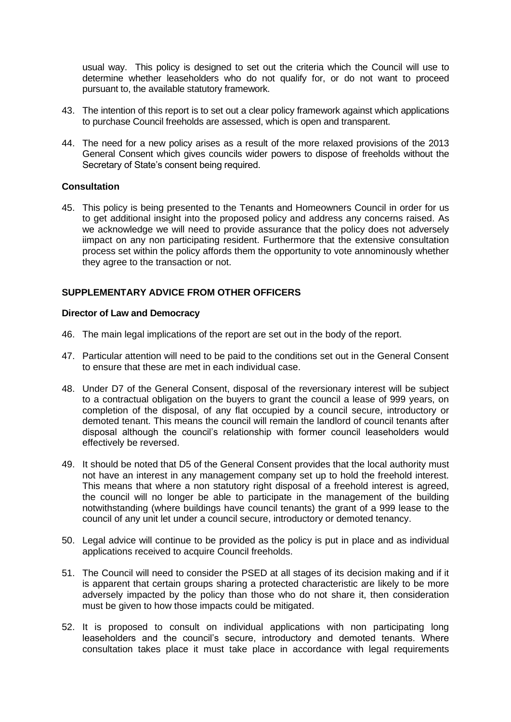usual way. This policy is designed to set out the criteria which the Council will use to determine whether leaseholders who do not qualify for, or do not want to proceed pursuant to, the available statutory framework.

- 43. The intention of this report is to set out a clear policy framework against which applications to purchase Council freeholds are assessed, which is open and transparent.
- 44. The need for a new policy arises as a result of the more relaxed provisions of the 2013 General Consent which gives councils wider powers to dispose of freeholds without the Secretary of State's consent being required.

## **Consultation**

45. This policy is being presented to the Tenants and Homeowners Council in order for us to get additional insight into the proposed policy and address any concerns raised. As we acknowledge we will need to provide assurance that the policy does not adversely iimpact on any non participating resident. Furthermore that the extensive consultation process set within the policy affords them the opportunity to vote annominously whether they agree to the transaction or not.

## **SUPPLEMENTARY ADVICE FROM OTHER OFFICERS**

#### **Director of Law and Democracy**

- 46. The main legal implications of the report are set out in the body of the report.
- 47. Particular attention will need to be paid to the conditions set out in the General Consent to ensure that these are met in each individual case.
- 48. Under D7 of the General Consent, disposal of the reversionary interest will be subject to a contractual obligation on the buyers to grant the council a lease of 999 years, on completion of the disposal, of any flat occupied by a council secure, introductory or demoted tenant. This means the council will remain the landlord of council tenants after disposal although the council's relationship with former council leaseholders would effectively be reversed.
- 49. It should be noted that D5 of the General Consent provides that the local authority must not have an interest in any management company set up to hold the freehold interest. This means that where a non statutory right disposal of a freehold interest is agreed. the council will no longer be able to participate in the management of the building notwithstanding (where buildings have council tenants) the grant of a 999 lease to the council of any unit let under a council secure, introductory or demoted tenancy.
- 50. Legal advice will continue to be provided as the policy is put in place and as individual applications received to acquire Council freeholds.
- 51. The Council will need to consider the PSED at all stages of its decision making and if it is apparent that certain groups sharing a protected characteristic are likely to be more adversely impacted by the policy than those who do not share it, then consideration must be given to how those impacts could be mitigated.
- 52. It is proposed to consult on individual applications with non participating long leaseholders and the council's secure, introductory and demoted tenants. Where consultation takes place it must take place in accordance with legal requirements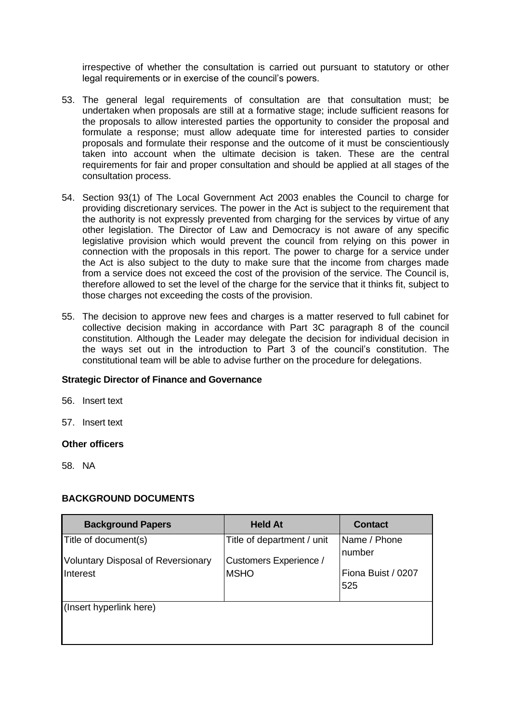irrespective of whether the consultation is carried out pursuant to statutory or other legal requirements or in exercise of the council's powers.

- 53. The general legal requirements of consultation are that consultation must; be undertaken when proposals are still at a formative stage; include sufficient reasons for the proposals to allow interested parties the opportunity to consider the proposal and formulate a response; must allow adequate time for interested parties to consider proposals and formulate their response and the outcome of it must be conscientiously taken into account when the ultimate decision is taken. These are the central requirements for fair and proper consultation and should be applied at all stages of the consultation process.
- 54. Section 93(1) of The Local Government Act 2003 enables the Council to charge for providing discretionary services. The power in the Act is subject to the requirement that the authority is not expressly prevented from charging for the services by virtue of any other legislation. The Director of Law and Democracy is not aware of any specific legislative provision which would prevent the council from relying on this power in connection with the proposals in this report. The power to charge for a service under the Act is also subject to the duty to make sure that the income from charges made from a service does not exceed the cost of the provision of the service. The Council is, therefore allowed to set the level of the charge for the service that it thinks fit, subject to those charges not exceeding the costs of the provision.
- 55. The decision to approve new fees and charges is a matter reserved to full cabinet for collective decision making in accordance with Part 3C paragraph 8 of the council constitution. Although the Leader may delegate the decision for individual decision in the ways set out in the introduction to Part 3 of the council's constitution. The constitutional team will be able to advise further on the procedure for delegations.

#### **Strategic Director of Finance and Governance**

56. Insert text

57. Insert text

#### **Other officers**

58. NA

#### **BACKGROUND DOCUMENTS**

| <b>Background Papers</b>                  | <b>Held At</b>                | <b>Contact</b>     |
|-------------------------------------------|-------------------------------|--------------------|
| Title of document(s)                      | Title of department / unit    | Name / Phone       |
| <b>Voluntary Disposal of Reversionary</b> | <b>Customers Experience /</b> | Inumber            |
| Interest                                  | <b>MSHO</b>                   | Fiona Buist / 0207 |
|                                           |                               | 525                |
| (Insert hyperlink here)                   |                               |                    |
|                                           |                               |                    |
|                                           |                               |                    |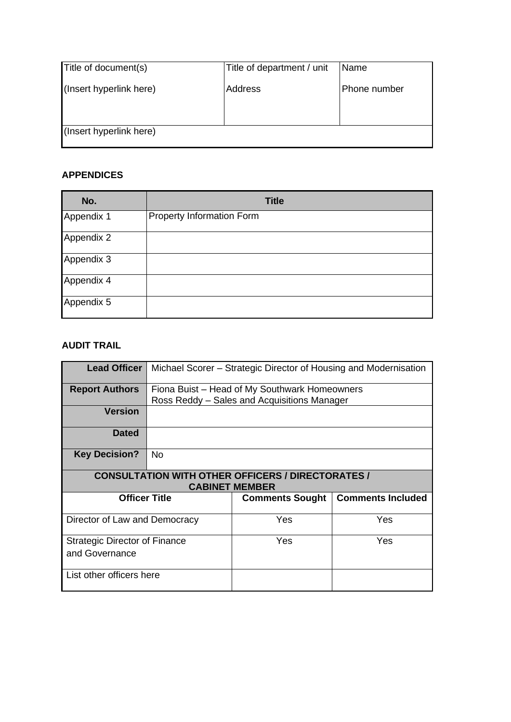| Phone number |
|--------------|
|              |
|              |
|              |
|              |

## **APPENDICES**

| No.        | <b>Title</b>                     |
|------------|----------------------------------|
| Appendix 1 | <b>Property Information Form</b> |
| Appendix 2 |                                  |
| Appendix 3 |                                  |
| Appendix 4 |                                  |
| Appendix 5 |                                  |

# **AUDIT TRAIL**

| <b>Lead Officer</b>                                                               | Michael Scorer – Strategic Director of Housing and Modernisation |                        |                          |
|-----------------------------------------------------------------------------------|------------------------------------------------------------------|------------------------|--------------------------|
| <b>Report Authors</b>                                                             | Fiona Buist - Head of My Southwark Homeowners                    |                        |                          |
|                                                                                   | Ross Reddy – Sales and Acquisitions Manager                      |                        |                          |
| <b>Version</b>                                                                    |                                                                  |                        |                          |
| <b>Dated</b>                                                                      |                                                                  |                        |                          |
| <b>Key Decision?</b>                                                              | No.                                                              |                        |                          |
| <b>CONSULTATION WITH OTHER OFFICERS / DIRECTORATES /</b><br><b>CABINET MEMBER</b> |                                                                  |                        |                          |
| <b>Officer Title</b>                                                              |                                                                  | <b>Comments Sought</b> | <b>Comments Included</b> |
| Director of Law and Democracy                                                     |                                                                  | Yes                    | Yes                      |
| <b>Strategic Director of Finance</b>                                              |                                                                  | Yes                    | Yes                      |
| and Governance                                                                    |                                                                  |                        |                          |
| List other officers here                                                          |                                                                  |                        |                          |